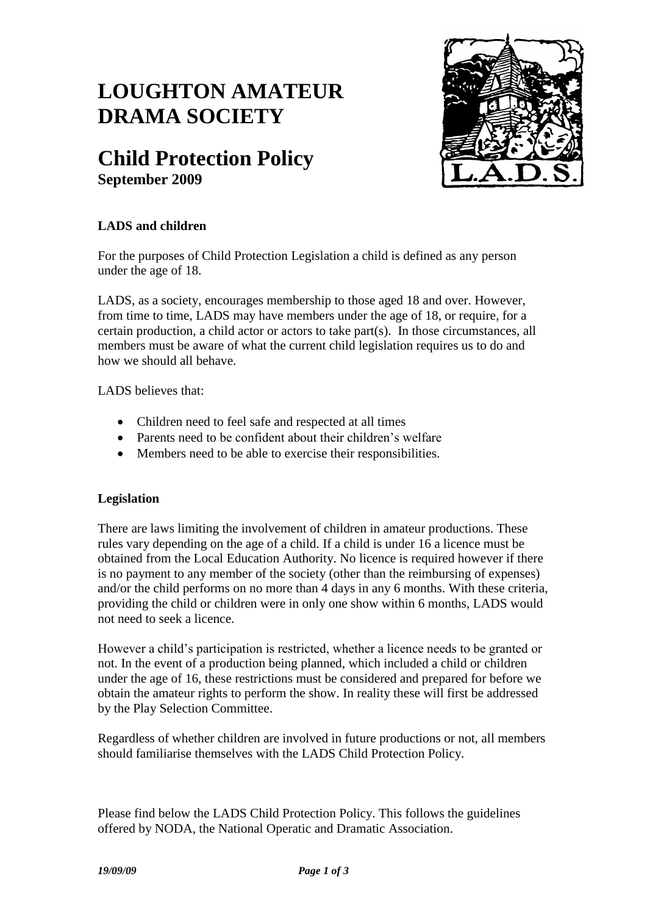# **LOUGHTON AMATEUR DRAMA SOCIETY**

# **Child Protection Policy September 2009**



## **LADS and children**

For the purposes of Child Protection Legislation a child is defined as any person under the age of 18.

LADS, as a society, encourages membership to those aged 18 and over. However, from time to time, LADS may have members under the age of 18, or require, for a certain production, a child actor or actors to take part(s). In those circumstances, all members must be aware of what the current child legislation requires us to do and how we should all behave.

LADS believes that:

- Children need to feel safe and respected at all times
- Parents need to be confident about their children's welfare
- Members need to be able to exercise their responsibilities.

### **Legislation**

There are laws limiting the involvement of children in amateur productions. These rules vary depending on the age of a child. If a child is under 16 a licence must be obtained from the Local Education Authority. No licence is required however if there is no payment to any member of the society (other than the reimbursing of expenses) and/or the child performs on no more than 4 days in any 6 months. With these criteria, providing the child or children were in only one show within 6 months, LADS would not need to seek a licence.

However a child's participation is restricted, whether a licence needs to be granted or not. In the event of a production being planned, which included a child or children under the age of 16, these restrictions must be considered and prepared for before we obtain the amateur rights to perform the show. In reality these will first be addressed by the Play Selection Committee.

Regardless of whether children are involved in future productions or not, all members should familiarise themselves with the LADS Child Protection Policy.

Please find below the LADS Child Protection Policy. This follows the guidelines offered by NODA, the National Operatic and Dramatic Association.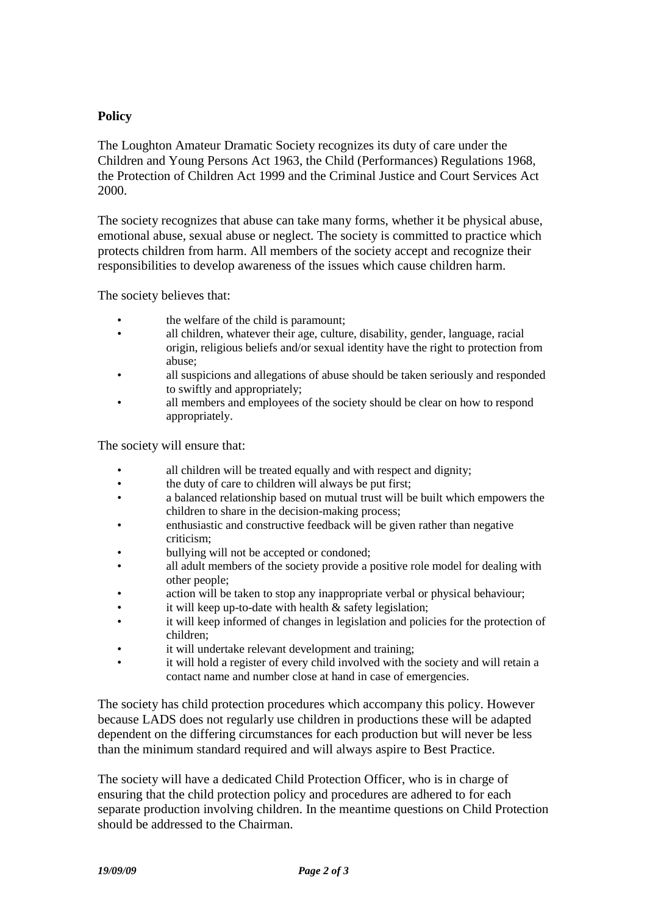#### **Policy**

The Loughton Amateur Dramatic Society recognizes its duty of care under the Children and Young Persons Act 1963, the Child (Performances) Regulations 1968, the Protection of Children Act 1999 and the Criminal Justice and Court Services Act 2000.

The society recognizes that abuse can take many forms, whether it be physical abuse, emotional abuse, sexual abuse or neglect. The society is committed to practice which protects children from harm. All members of the society accept and recognize their responsibilities to develop awareness of the issues which cause children harm.

The society believes that:

- the welfare of the child is paramount;
- all children, whatever their age, culture, disability, gender, language, racial origin, religious beliefs and/or sexual identity have the right to protection from abuse;
- all suspicions and allegations of abuse should be taken seriously and responded to swiftly and appropriately;
- all members and employees of the society should be clear on how to respond appropriately.

The society will ensure that:

- all children will be treated equally and with respect and dignity;
- the duty of care to children will always be put first;
- a balanced relationship based on mutual trust will be built which empowers the children to share in the decision-making process;
- enthusiastic and constructive feedback will be given rather than negative criticism;
- bullying will not be accepted or condoned;
- all adult members of the society provide a positive role model for dealing with other people;
- action will be taken to stop any inappropriate verbal or physical behaviour;
- it will keep up-to-date with health  $&$  safety legislation;
- it will keep informed of changes in legislation and policies for the protection of children;
- it will undertake relevant development and training;
- it will hold a register of every child involved with the society and will retain a contact name and number close at hand in case of emergencies.

The society has child protection procedures which accompany this policy. However because LADS does not regularly use children in productions these will be adapted dependent on the differing circumstances for each production but will never be less than the minimum standard required and will always aspire to Best Practice.

The society will have a dedicated Child Protection Officer, who is in charge of ensuring that the child protection policy and procedures are adhered to for each separate production involving children. In the meantime questions on Child Protection should be addressed to the Chairman.